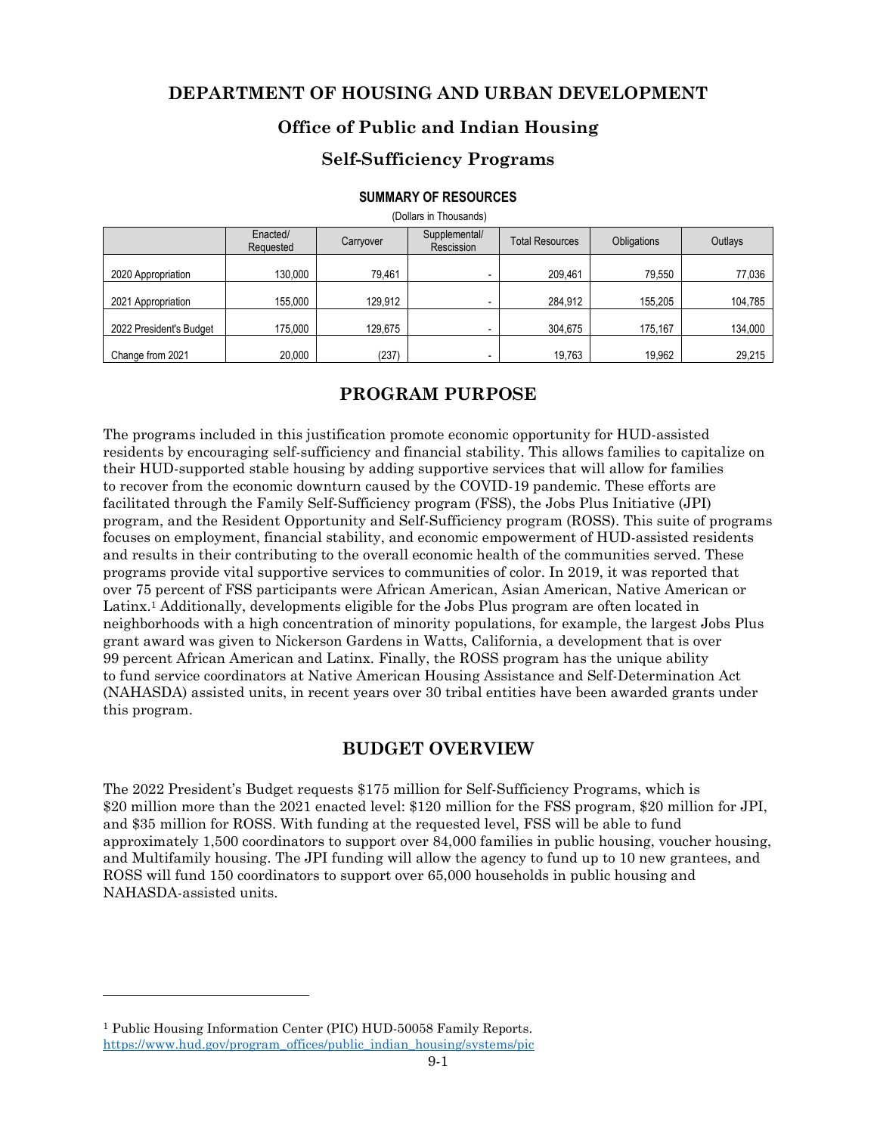### **DEPARTMENT OF HOUSING AND URBAN DEVELOPMENT**

### **Office of Public and Indian Housing**

### **Self-Sufficiency Programs**

#### **SUMMARY OF RESOURCES**

| (Dollars in Thousands)  |                       |           |                             |                        |                    |         |  |  |  |  |  |  |
|-------------------------|-----------------------|-----------|-----------------------------|------------------------|--------------------|---------|--|--|--|--|--|--|
|                         | Enacted/<br>Requested | Carryover | Supplemental/<br>Rescission | <b>Total Resources</b> | <b>Obligations</b> | Outlays |  |  |  |  |  |  |
| 2020 Appropriation      | 130,000               | 79,461    |                             | 209,461                | 79,550             | 77,036  |  |  |  |  |  |  |
| 2021 Appropriation      | 155,000               | 129,912   |                             | 284,912                | 155,205            | 104,785 |  |  |  |  |  |  |
| 2022 President's Budget | 175.000               | 129.675   |                             | 304,675                | 175,167            | 134,000 |  |  |  |  |  |  |
| Change from 2021        | 20,000                | (237)     |                             | 19,763                 | 19,962             | 29,215  |  |  |  |  |  |  |

# **PROGRAM PURPOSE**

The programs included in this justification promote economic opportunity for HUD-assisted residents by encouraging self-sufficiency and financial stability. This allows families to capitalize on their HUD-supported stable housing by adding supportive services that will allow for families to recover from the economic downturn caused by the COVID-19 pandemic. These efforts are facilitated through the Family Self-Sufficiency program (FSS), the Jobs Plus Initiative (JPI) program, and the Resident Opportunity and Self-Sufficiency program (ROSS). This suite of programs focuses on employment, financial stability, and economic empowerment of HUD-assisted residents and results in their contributing to the overall economic health of the communities served. These programs provide vital supportive services to communities of color. In 2019, it was reported that over 75 percent of FSS participants were African American, Asian American, Native American or Latinx.<sup>1</sup> Additionally, developments eligible for the Jobs Plus program are often located in neighborhoods with a high concentration of minority populations, for example, the largest Jobs Plus grant award was given to Nickerson Gardens in Watts, California, a development that is over 99 percent African American and Latinx. Finally, the ROSS program has the unique ability to fund service coordinators at Native American Housing Assistance and Self-Determination Act (NAHASDA) assisted units, in recent years over 30 tribal entities have been awarded grants under this program.

### **BUDGET OVERVIEW**

The 2022 President's Budget requests \$175 million for Self-Sufficiency Programs, which is \$20 million more than the 2021 enacted level: \$120 million for the FSS program, \$20 million for JPI, and \$35 million for ROSS. With funding at the requested level, FSS will be able to fund approximately 1,500 coordinators to support over 84,000 families in public housing, voucher housing, and Multifamily housing. The JPI funding will allow the agency to fund up to 10 new grantees, and ROSS will fund 150 coordinators to support over 65,000 households in public housing and NAHASDA-assisted units.

<sup>1</sup> Public Housing Information Center (PIC) HUD-50058 Family Reports. https://www.hud.gov/program\_offices/public\_indian\_housing/systems/pic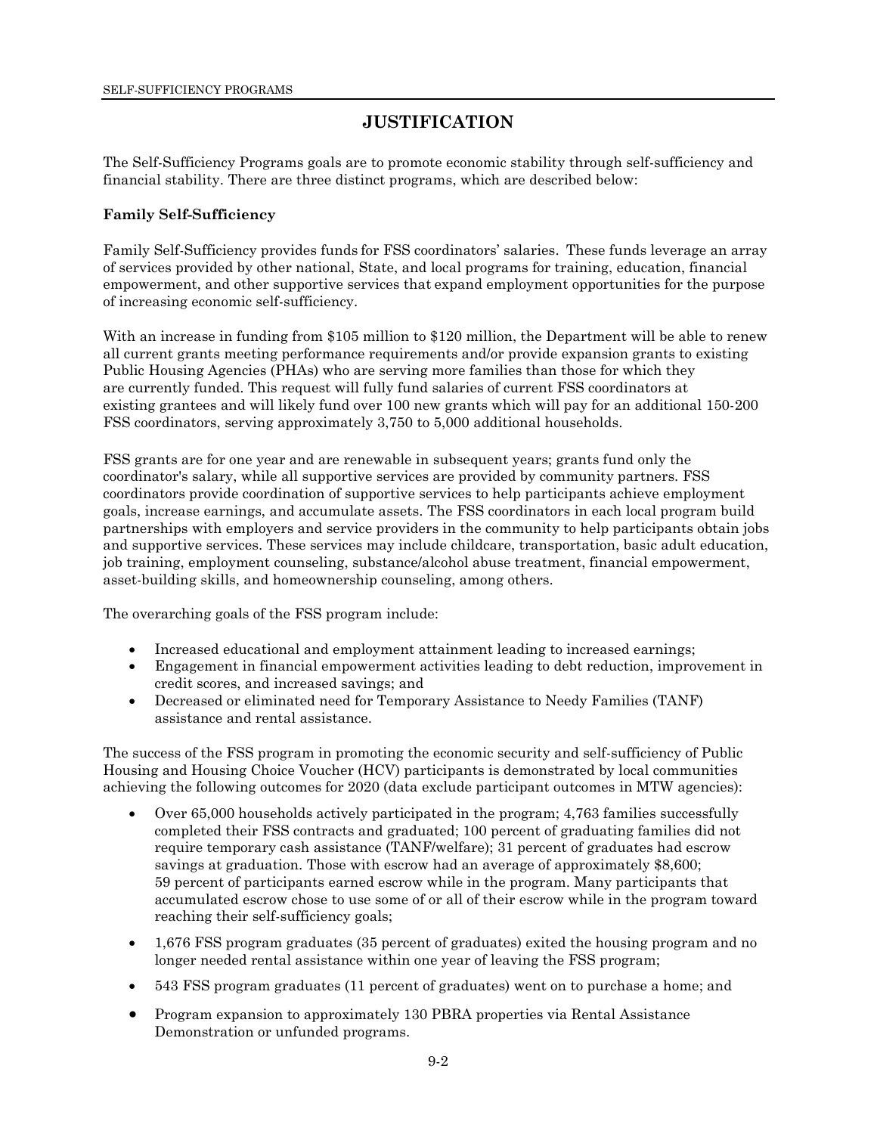# **JUSTIFICATION**

The Self-Sufficiency Programs goals are to promote economic stability through self-sufficiency and financial stability. There are three distinct programs, which are described below:

### **Family Self-Sufficiency**

Family Self-Sufficiency provides funds for FSS coordinators' salaries. These funds leverage an array of services provided by other national, State, and local programs for training, education, financial empowerment, and other supportive services that expand employment opportunities for the purpose of increasing economic self-sufficiency.

With an increase in funding from \$105 million to \$120 million, the Department will be able to renew all current grants meeting performance requirements and/or provide expansion grants to existing Public Housing Agencies (PHAs) who are serving more families than those for which they are currently funded. This request will fully fund salaries of current FSS coordinators at existing grantees and will likely fund over 100 new grants which will pay for an additional 150-200 FSS coordinators, serving approximately 3,750 to 5,000 additional households.

FSS grants are for one year and are renewable in subsequent years; grants fund only the coordinator's salary, while all supportive services are provided by community partners. FSS coordinators provide coordination of supportive services to help participants achieve employment goals, increase earnings, and accumulate assets. The FSS coordinators in each local program build partnerships with employers and service providers in the community to help participants obtain jobs and supportive services. These services may include childcare, transportation, basic adult education, job training, employment counseling, substance/alcohol abuse treatment, financial empowerment, asset-building skills, and homeownership counseling, among others.

The overarching goals of the FSS program include:

- Increased educational and employment attainment leading to increased earnings;
- Engagement in financial empowerment activities leading to debt reduction, improvement in credit scores, and increased savings; and
- Decreased or eliminated need for Temporary Assistance to Needy Families (TANF) assistance and rental assistance.

The success of the FSS program in promoting the economic security and self-sufficiency of Public Housing and Housing Choice Voucher (HCV) participants is demonstrated by local communities achieving the following outcomes for 2020 (data exclude participant outcomes in MTW agencies):

- Over 65,000 households actively participated in the program; 4,763 families successfully completed their FSS contracts and graduated; 100 percent of graduating families did not require temporary cash assistance (TANF/welfare); 31 percent of graduates had escrow savings at graduation. Those with escrow had an average of approximately \$8,600; 59 percent of participants earned escrow while in the program. Many participants that accumulated escrow chose to use some of or all of their escrow while in the program toward reaching their self-sufficiency goals;
- 1,676 FSS program graduates (35 percent of graduates) exited the housing program and no longer needed rental assistance within one year of leaving the FSS program;
- 543 FSS program graduates (11 percent of graduates) went on to purchase a home; and
- Program expansion to approximately 130 PBRA properties via Rental Assistance Demonstration or unfunded programs.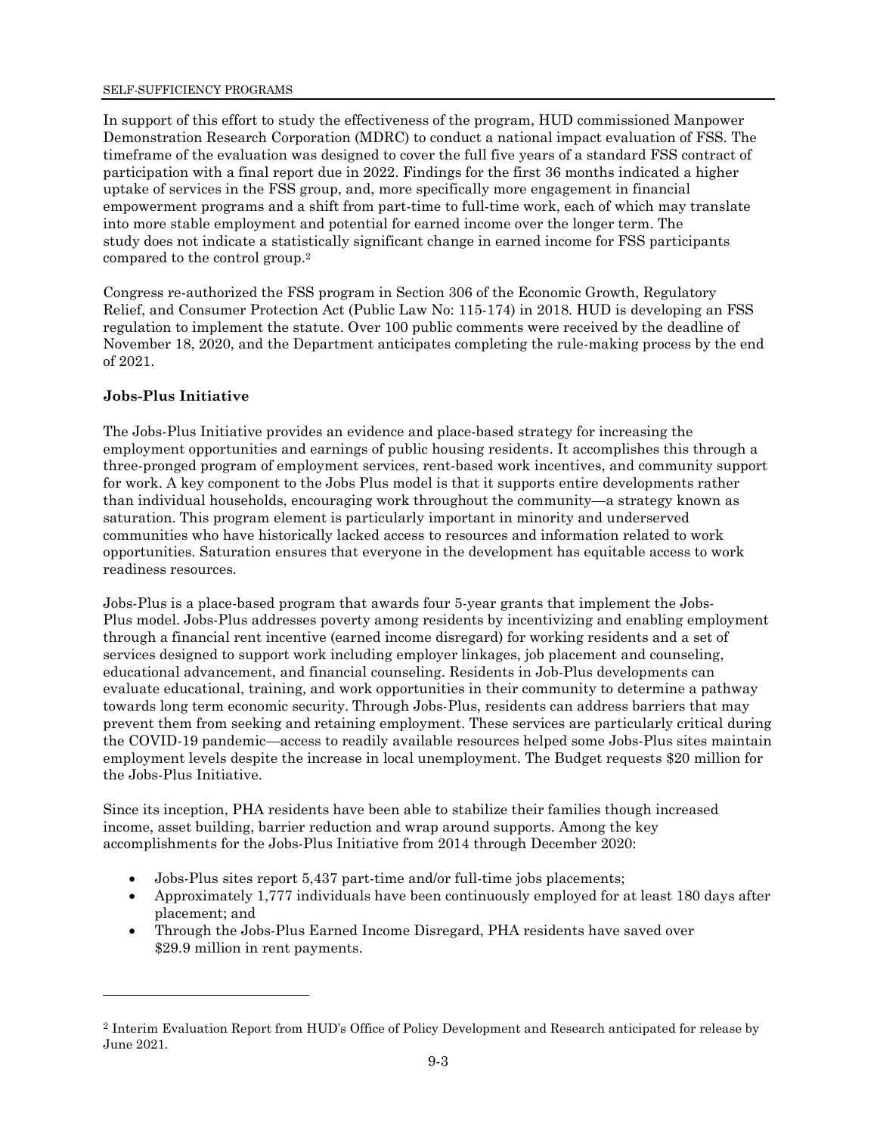In support of this effort to study the effectiveness of the program, HUD commissioned Manpower Demonstration Research Corporation (MDRC) to conduct a national impact evaluation of FSS. The timeframe of the evaluation was designed to cover the full five years of a standard FSS contract of participation with a final report due in 2022. Findings for the first 36 months indicated a higher uptake of services in the FSS group, and, more specifically more engagement in financial empowerment programs and a shift from part-time to full-time work, each of which may translate into more stable employment and potential for earned income over the longer term. The study does not indicate a statistically significant change in earned income for FSS participants compared to the control group.<sup>2</sup>

Congress re-authorized the FSS program in Section 306 of the Economic Growth, Regulatory Relief, and Consumer Protection Act (Public Law No: 115-174) in 2018. HUD is developing an FSS regulation to implement the statute. Over 100 public comments were received by the deadline of November 18, 2020, and the Department anticipates completing the rule-making process by the end of 2021.

#### **Jobs-Plus Initiative**

The Jobs-Plus Initiative provides an evidence and place-based strategy for increasing the employment opportunities and earnings of public housing residents. It accomplishes this through a three-pronged program of employment services, rent-based work incentives, and community support for work. A key component to the Jobs Plus model is that it supports entire developments rather than individual households, encouraging work throughout the community—a strategy known as saturation. This program element is particularly important in minority and underserved communities who have historically lacked access to resources and information related to work opportunities. Saturation ensures that everyone in the development has equitable access to work readiness resources.

Jobs-Plus is a place-based program that awards four 5-year grants that implement the Jobs-Plus model. Jobs-Plus addresses poverty among residents by incentivizing and enabling employment through a financial rent incentive (earned income disregard) for working residents and a set of services designed to support work including employer linkages, job placement and counseling, educational advancement, and financial counseling. Residents in Job-Plus developments can evaluate educational, training, and work opportunities in their community to determine a pathway towards long term economic security. Through Jobs-Plus, residents can address barriers that may prevent them from seeking and retaining employment. These services are particularly critical during the COVID-19 pandemic—access to readily available resources helped some Jobs-Plus sites maintain employment levels despite the increase in local unemployment. The Budget requests \$20 million for the Jobs-Plus Initiative.

Since its inception, PHA residents have been able to stabilize their families though increased income, asset building, barrier reduction and wrap around supports. Among the key accomplishments for the Jobs-Plus Initiative from 2014 through December 2020:

- Jobs-Plus sites report 5,437 part-time and/or full-time jobs placements;
- Approximately 1,777 individuals have been continuously employed for at least 180 days after placement; and
- Through the Jobs-Plus Earned Income Disregard, PHA residents have saved over \$29.9 million in rent payments.

<sup>2</sup> Interim Evaluation Report from HUD's Office of Policy Development and Research anticipated for release by June 2021.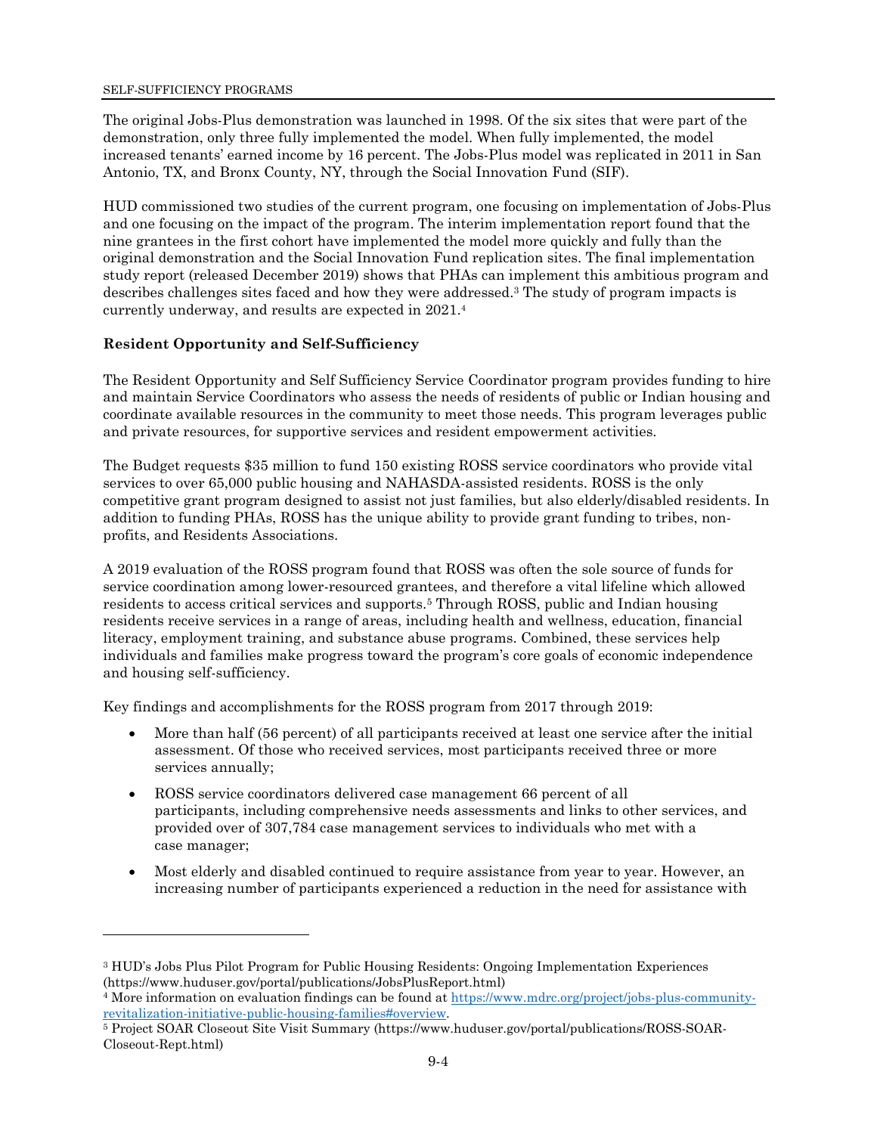The original Jobs-Plus demonstration was launched in 1998. Of the six sites that were part of the demonstration, only three fully implemented the model. When fully implemented, the model increased tenants' earned income by 16 percent. The Jobs-Plus model was replicated in 2011 in San Antonio, TX, and Bronx County, NY, through the Social Innovation Fund (SIF).

HUD commissioned two studies of the current program, one focusing on implementation of Jobs-Plus and one focusing on the impact of the program. The interim implementation report found that the nine grantees in the first cohort have implemented the model more quickly and fully than the original demonstration and the Social Innovation Fund replication sites. The final implementation study report (released December 2019) shows that PHAs can implement this ambitious program and describes challenges sites faced and how they were addressed.3 The study of program impacts is currently underway, and results are expected in 2021.<sup>4</sup>

### **Resident Opportunity and Self-Sufficiency**

The Resident Opportunity and Self Sufficiency Service Coordinator program provides funding to hire and maintain Service Coordinators who assess the needs of residents of public or Indian housing and coordinate available resources in the community to meet those needs. This program leverages public and private resources, for supportive services and resident empowerment activities.

The Budget requests \$35 million to fund 150 existing ROSS service coordinators who provide vital services to over 65,000 public housing and NAHASDA-assisted residents. ROSS is the only competitive grant program designed to assist not just families, but also elderly/disabled residents. In addition to funding PHAs, ROSS has the unique ability to provide grant funding to tribes, nonprofits, and Residents Associations.

A 2019 evaluation of the ROSS program found that ROSS was often the sole source of funds for service coordination among lower-resourced grantees, and therefore a vital lifeline which allowed residents to access critical services and supports.5 Through ROSS, public and Indian housing residents receive services in a range of areas, including health and wellness, education, financial literacy, employment training, and substance abuse programs. Combined, these services help individuals and families make progress toward the program's core goals of economic independence and housing self-sufficiency.

Key findings and accomplishments for the ROSS program from 2017 through 2019:

- More than half (56 percent) of all participants received at least one service after the initial assessment. Of those who received services, most participants received three or more services annually;
- ROSS service coordinators delivered case management 66 percent of all participants, including comprehensive needs assessments and links to other services, and provided over of 307,784 case management services to individuals who met with a case manager;
- Most elderly and disabled continued to require assistance from year to year. However, an increasing number of participants experienced a reduction in the need for assistance with

<sup>&</sup>lt;sup>3</sup> HUD's Jobs Plus Pilot Program for Public Housing Residents: Ongoing Implementation Experiences (https://www.huduser.gov/portal/publications/JobsPlusReport.html)

<sup>&</sup>lt;sup>4</sup> More information on evaluation findings can be found at https://www.mdrc.org/project/jobs-plus-communityrevitalization-initiative-public-housing-families#overview.

<sup>5</sup> Project SOAR Closeout Site Visit Summary (https://www.huduser.gov/portal/publications/ROSS-SOAR-Closeout-Rept.html)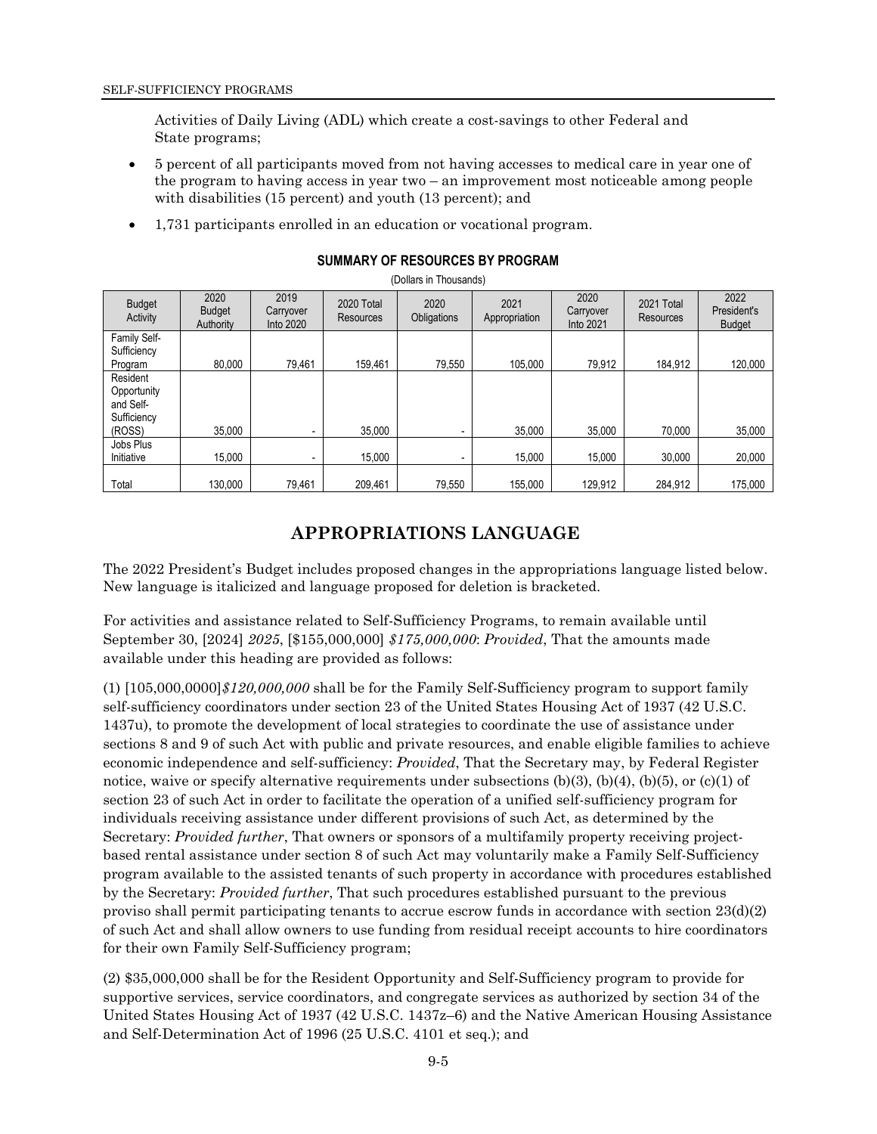Activities of Daily Living (ADL) which create a cost-savings to other Federal and State programs;

- 5 percent of all participants moved from not having accesses to medical care in year one of the program to having access in year two – an improvement most noticeable among people with disabilities (15 percent) and youth (13 percent); and
- 1,731 participants enrolled in an education or vocational program.

| <b>Budget</b><br>Activity                                     | 2020<br><b>Budget</b><br>Authority | 2019<br>Carryover<br>Into 2020 | 2020 Total<br><b>Resources</b> | 2020<br>Obligations | 2021<br>Appropriation | 2020<br>Carryover<br>Into 2021 | 2021 Total<br>Resources | 2022<br>President's<br><b>Budget</b> |
|---------------------------------------------------------------|------------------------------------|--------------------------------|--------------------------------|---------------------|-----------------------|--------------------------------|-------------------------|--------------------------------------|
| Family Self-<br>Sufficiency<br>Program                        | 80.000                             | 79.461                         | 159.461                        | 79.550              | 105.000               | 79.912                         | 184.912                 | 120,000                              |
| Resident<br>Opportunity<br>and Self-<br>Sufficiency<br>(ROSS) | 35,000                             |                                | 35,000                         |                     | 35,000                | 35,000                         | 70,000                  | 35,000                               |
| Jobs Plus<br>Initiative                                       | 15,000                             |                                | 15,000                         |                     | 15,000                | 15,000                         | 30,000                  | 20,000                               |
| Total                                                         | 130.000                            | 79.461                         | 209,461                        | 79,550              | 155,000               | 129,912                        | 284.912                 | 175,000                              |

**SUMMARY OF RESOURCES BY PROGRAM** 

(Dollars in Thousands)

# **APPROPRIATIONS LANGUAGE**

The 2022 President's Budget includes proposed changes in the appropriations language listed below. New language is italicized and language proposed for deletion is bracketed.

For activities and assistance related to Self-Sufficiency Programs, to remain available until September 30, [2024] *2025*, [\$155,000,000] *\$175,000,000*: *Provided*, That the amounts made available under this heading are provided as follows:

(1) [105,000,0000]*\$120,000,000* shall be for the Family Self-Sufficiency program to support family self-sufficiency coordinators under section 23 of the United States Housing Act of 1937 (42 U.S.C. 1437u), to promote the development of local strategies to coordinate the use of assistance under sections 8 and 9 of such Act with public and private resources, and enable eligible families to achieve economic independence and self-sufficiency: *Provided*, That the Secretary may, by Federal Register notice, waive or specify alternative requirements under subsections  $(b)(3)$ ,  $(b)(4)$ ,  $(b)(5)$ , or  $(c)(1)$  of section 23 of such Act in order to facilitate the operation of a unified self-sufficiency program for individuals receiving assistance under different provisions of such Act, as determined by the Secretary: *Provided further*, That owners or sponsors of a multifamily property receiving projectbased rental assistance under section 8 of such Act may voluntarily make a Family Self-Sufficiency program available to the assisted tenants of such property in accordance with procedures established by the Secretary: *Provided further*, That such procedures established pursuant to the previous proviso shall permit participating tenants to accrue escrow funds in accordance with section  $23(d)(2)$ of such Act and shall allow owners to use funding from residual receipt accounts to hire coordinators for their own Family Self-Sufficiency program;

(2) \$35,000,000 shall be for the Resident Opportunity and Self-Sufficiency program to provide for supportive services, service coordinators, and congregate services as authorized by section 34 of the United States Housing Act of 1937 (42 U.S.C. 1437z–6) and the Native American Housing Assistance and Self-Determination Act of 1996 (25 U.S.C. 4101 et seq.); and